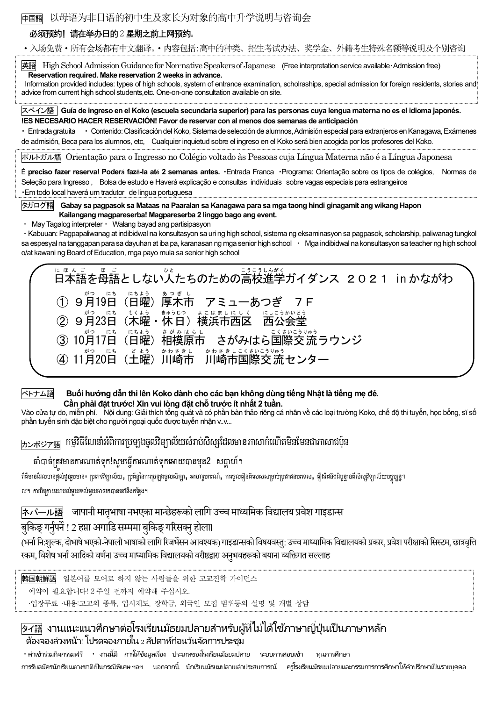中国語 以母语为非日语的初中生及家长为对象的高中升学说明与咨询会

## 必须预约! 请在举办日的2 星期之前上网预约。

·入场免费·所有会场都有中文翻译。·内容包括:高中的种类、招生考试办法、奖学金、外籍考生特殊名额等说明及个别咨询

英語 High School Admission Guidance for Non-native Speakers of Japanese (Free interpretation service available・Admission free) Reservation required. Make reservation 2 weeks in advance. Information provided includes: types of high schools, system of entrance examination, scholraships, special admission for foreign residents, stories and advice from current high school students,etc. One-on-one consultation available on site. スペイン語|Guía de ingreso en el Koko (escuela secundaria superior) para las personas cuya lengua materna no es el idioma japonés. !ES NECESARIO HACER RESERVACIÓN! Favor de reservar con al menos dos semanas de anticipación ・ Entrada gratuita ・ Contenido: Clasificación del Koko, Sistema de selección de alumnos, Admisión especial para extranjeros en Kanagawa, Exámenes de admisión, Beca para los alumnos, etc, Cualquier inquietud sobre el ingreso en el Koko será bien acogida por los profesores del Koko. ポルトガル語 Orientação para o Ingresso no Colégio voltado às Pessoas cuja Língua Materna não é a Língua Japonesa É preciso fazer reserva! Poderá fazê-la até 2 semanas antes. ・Entrada Franca ・Programa: Orientação sobre os tipos de colégios, Normas de Seleção para Ingresso , Bolsa de estudo e Haverá explicação e consultas individuais sobre vagas especiais para estrangeiros ・Em todo local haverá um tradutor de lingua portuguesa タガログ語 Gabay sa pagpasok sa Mataas na Paaralan sa Kanagawa para sa mga taong hindi ginagamit ang wikang Hapon Kailangang magpareserba! Magpareserba 2 linggo bago ang event. ・ May Tagalog interpreter・ Walang bayad ang partisipasyon ・Kabuuan: Pagpapaliwanag at indibidwal na konsultasyon sa uri ng high school, sistema ng eksaminasyon sa pagpasok, scholarship, paliwanag tungkol sa espesyal na tanggapan para sa dayuhan at iba pa, karanasan ng mga senior high school · Mga indibidwal na konsultasyon sa teacher ng high school o/at kawani ng Board of Education, mga payo mula sa senior high school にま。。<br>日本語を母語としない人たちのための高校進学ガイダンス 2021 in かながわ ① 9月19日 、『もょぅ ぁっぎし<br>(日曜)厚木市 アミューあつぎ 7F ② 9月23日 がつ にち (木 曜 もく よう • 休日) 横浜市西区 きゅうじつ よこはましに しく 西 公 会堂 にし こう かいどう ③ 10月17日 (日 曜 にち よう )相模原市 さ が み は ら し さがみはら国際 交流 ラウンジ こくさい こうりゅう ④ 11月20日 。<br>(土曜 )川崎市 か わ さ き し 川崎市 国際 交流 か わ さ き し こくさいこうりゅう センター ベトナム語 Buổi hướng dẫn thi lên Koko dành cho các bạn không dùng tiếng Nhật là tiếng mẹ đẻ. Cần phải đặt trước! Xin vui lòng đặt chỗ trước ít nhất 2 tuần. Vào cửa tự do, miễn phí. Nội dung: Giải thích tổng quát và có phần bàn thảo riêng cá nhân về các loại trường Koko, chế độ thi tuyển, học bổng, sĩ số phần tuyển sinh đặc biệt cho người ngoại quốc được tuyển nhận v..v...  $\overline{\rm H\!\supset\!\pi$ ះ $\overline{\rm H\!B}}$  កម្មវិធីណែនាំអំពីការប្រឡងចូលវិទ្យាល័យសំរាប់សិស្សដែលមានភាសាកំណើតមិនមែនជាភាសាជប៉ុន ចាំបាច់ត្រូវមានការណារ់ទុក!សូមធ្វើការណារ់ទុកធោយបានមុន<sup>2</sup> សបាា ហ៍។ ព័ត៌មានដែលបានផ្តល់ជូនរួមមាន៖ ប្រភេទវិទ្យាល័យ, ប្រព័ន្ធនៃការប្រឡងចូលសិក្សា, អាហារូបករណ៍, ការចូលឆៀនពិសេកោះ ការចូលភ<br>តែមានដែលបានផ្តល់ជូនរួមមាន៖ ប្រភេទវិទ្យាល័យ, ប្រព័ន្ធនៃការប្រឡងចូលសិក្សា, អាហារូបករណ៍, ការចូលឆៀនពិសេកលវិទាល័យ ល។ ការពិតគ្រាះយោបល់មួយទល់មួយអាចរកបាននៅនឹងកន្លែង។ <mark>ऋण-एक</mark>्कि जापानी मातृभाषा नभएका मान्छेहरूको लागि उच्च माध्यमिक विद्यालय प्रवेश गाइडान्स बुकिङ् गर्नुपर्ने ! 2 हप्ता अगाडि सम्ममा बुकिङ् गरिसक्नु होला। (भर्ना नि:शुल्क, दोभाषे भएको-नेपाली भाषाको लागि रिजर्भेसन आवश्यक) गाइडान्सको विषयवस्तु: उच्च माध्यामिक विद्यालयको प्रकार, प्रवेश परीक्षाको सिस्टम, छात्रवृत्ति रकम, विशेष भर्ना आदिको वर्णन। उच्च माध्यामिक विद्यालयको वरीष्ठद्वारा अनुभवहरूको बयान। व्यक्तिगत सल्लाह 韓国朝鮮語 일본어를 모어로 하지 않는 사람들을 위한 고교진학 가이던스 예약이 필요합니다! 2 주일 전까지 예약해 주십시오. ·입장무료 ·내용:고교의 종류, 입시제도, 장학금, 외국인 모집 범위등의 설명 및 개별 상담  $\overline{z}$ 4 งานแนะแนวศึกษาต่อโรงเรียนมัธยมปลายสำหรับผู้ที่ไม่ได้ใช้ภาษาญี่ปุ่นเป็นภาษาหลัก ต้องจองล่วงหน้า! โปรดจองภายใน 2 สัปดาห์ก่อนวันจัดการประชุม

・ค่าเข้าร่วมกิจกรรมฟรี ・ งานนีมี้ การให้ข้อมูลเรือง่ ประเภทของโรงเรียนมัธยมปลาย ระบบการสอบเข้า ทุนการศึกษา

การรับสมัครนักเรียนต่างชาติเป็นกรณีพิเศษ ฯลฯ นอกจากนี้ นักเรียนมัธยมปลายแล่าประสบการณ์ ครูโรงเรียนมัธยมปลายและกรรมการการศึกษาให้คำปรึกษาเป็นรายบุคคล